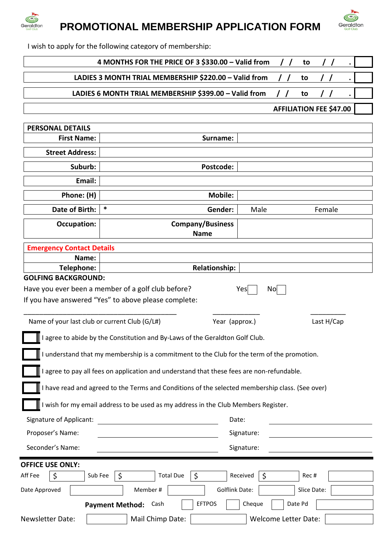

# *<b>Geraldion* PROMOTIONAL MEMBERSHIP APPLICATION FORM



I wish to apply for the following category of membership:

| 4 MONTHS FOR THE PRICE OF 3 \$330.00 - Valid from<br>to                                         |         |                         |           |             |
|-------------------------------------------------------------------------------------------------|---------|-------------------------|-----------|-------------|
| LADIES 3 MONTH TRIAL MEMBERSHIP \$220.00 - Valid from<br>to                                     |         |                         |           |             |
| LADIES 6 MONTH TRIAL MEMBERSHIP \$399.00 - Valid from<br>to                                     |         |                         |           |             |
| <b>AFFILIATION FEE \$47.00</b>                                                                  |         |                         |           |             |
|                                                                                                 |         |                         |           |             |
| <b>PERSONAL DETAILS</b>                                                                         |         |                         |           |             |
| <b>First Name:</b>                                                                              |         | Surname:                |           |             |
| <b>Street Address:</b>                                                                          |         |                         |           |             |
| Suburb:                                                                                         |         | Postcode:               |           |             |
| Email:                                                                                          |         |                         |           |             |
| Phone: (H)                                                                                      |         | <b>Mobile:</b>          |           |             |
| Date of Birth:                                                                                  | *       | Gender:                 | Male      | Female      |
| <b>Occupation:</b>                                                                              |         | <b>Company/Business</b> |           |             |
|                                                                                                 |         | <b>Name</b>             |           |             |
| <b>Emergency Contact Details</b>                                                                |         |                         |           |             |
| Name:                                                                                           |         |                         |           |             |
| Telephone:                                                                                      |         | <b>Relationship:</b>    |           |             |
| <b>GOLFING BACKGROUND:</b>                                                                      |         |                         |           |             |
| Have you ever been a member of a golf club before?                                              |         |                         | Yes<br>No |             |
| If you have answered "Yes" to above please complete:                                            |         |                         |           |             |
| Name of your last club or current Club (G/L#)                                                   |         | Year (approx.)          |           | Last H/Cap  |
|                                                                                                 |         |                         |           |             |
| I agree to abide by the Constitution and By-Laws of the Geraldton Golf Club.                    |         |                         |           |             |
| understand that my membership is a commitment to the Club for the term of the promotion.        |         |                         |           |             |
| agree to pay all fees on application and understand that these fees are non-refundable.         |         |                         |           |             |
| I have read and agreed to the Terms and Conditions of the selected membership class. (See over) |         |                         |           |             |
| I wish for my email address to be used as my address in the Club Members Register.              |         |                         |           |             |
| Signature of Applicant:<br>Date:                                                                |         |                         |           |             |
| Proposer's Name:<br>Signature:                                                                  |         |                         |           |             |
| Seconder's Name:<br>Signature:                                                                  |         |                         |           |             |
|                                                                                                 |         |                         |           |             |
| <b>OFFICE USE ONLY:</b><br>Received<br>Sub Fee<br><b>Total Due</b>                              |         |                         |           |             |
| Aff Fee<br>\$                                                                                   | \$      | \$                      | \$        | Rec#        |
| Date Approved                                                                                   | Member# | <b>Golflink Date:</b>   |           | Slice Date: |

**Payment Method:** Cash **EFTPOS** Cheque Date Pd

Newsletter Date:  $\parallel$  Mail Chimp Date:  $\parallel$  Welcome Letter Date: